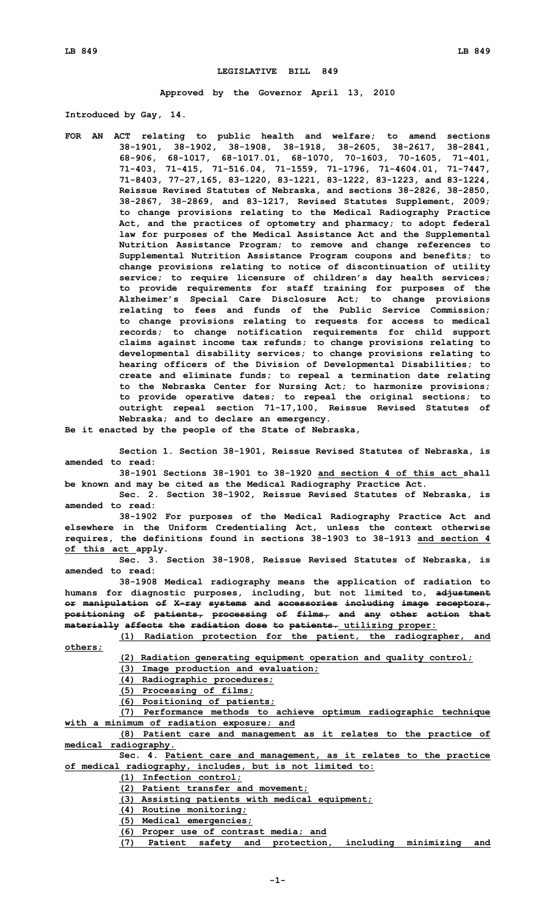## **LEGISLATIVE BILL 849**

**Approved by the Governor April 13, 2010**

**Introduced by Gay, 14.**

**FOR AN ACT relating to public health and welfare; to amend sections 38-1901, 38-1902, 38-1908, 38-1918, 38-2605, 38-2617, 38-2841, 68-906, 68-1017, 68-1017.01, 68-1070, 70-1603, 70-1605, 71-401, 71-403, 71-415, 71-516.04, 71-1559, 71-1796, 71-4604.01, 71-7447, 71-8403, 77-27,165, 83-1220, 83-1221, 83-1222, 83-1223, and 83-1224, Reissue Revised Statutes of Nebraska, and sections 38-2826, 38-2850, 38-2867, 38-2869, and 83-1217, Revised Statutes Supplement, 2009; to change provisions relating to the Medical Radiography Practice Act, and the practices of optometry and pharmacy; to adopt federal law for purposes of the Medical Assistance Act and the Supplemental Nutrition Assistance Program; to remove and change references to Supplemental Nutrition Assistance Program coupons and benefits; to change provisions relating to notice of discontinuation of utility service; to require licensure of children's day health services; to provide requirements for staff training for purposes of the Alzheimer's Special Care Disclosure Act; to change provisions relating to fees and funds of the Public Service Commission; to change provisions relating to requests for access to medical records; to change notification requirements for child support claims against income tax refunds; to change provisions relating to developmental disability services; to change provisions relating to hearing officers of the Division of Developmental Disabilities; to create and eliminate funds; to repeal <sup>a</sup> termination date relating to the Nebraska Center for Nursing Act; to harmonize provisions; to provide operative dates; to repeal the original sections; to outright repeal section 71-17,100, Reissue Revised Statutes of Nebraska; and to declare an emergency.**

**Be it enacted by the people of the State of Nebraska,**

**Section 1. Section 38-1901, Reissue Revised Statutes of Nebraska, is amended to read:**

**38-1901 Sections 38-1901 to 38-1920 and section 4 of this act shall be known and may be cited as the Medical Radiography Practice Act.**

**Sec. 2. Section 38-1902, Reissue Revised Statutes of Nebraska, is amended to read:**

**38-1902 For purposes of the Medical Radiography Practice Act and elsewhere in the Uniform Credentialing Act, unless the context otherwise requires, the definitions found in sections 38-1903 to 38-1913 and section 4 of this act apply.**

**Sec. 3. Section 38-1908, Reissue Revised Statutes of Nebraska, is amended to read:**

**38-1908 Medical radiography means the application of radiation to humans for diagnostic purposes, including, but not limited to, adjustment or manipulation of X-ray systems and accessories including image receptors, positioning of patients, processing of films, and any other action that materially affects the radiation dose to patients. utilizing proper:**

**(1) Radiation protection for the patient, the radiographer, and others;**

**(2) Radiation generating equipment operation and quality control;**

**(3) Image production and evaluation;**

**(4) Radiographic procedures;**

**(5) Processing of films;**

**(6) Positioning of patients;**

**(7) Performance methods to achieve optimum radiographic technique with <sup>a</sup> minimum of radiation exposure; and**

**(8) Patient care and management as it relates to the practice of medical radiography.**

**Sec. 4. Patient care and management, as it relates to the practice of medical radiography, includes, but is not limited to:**

**(1) Infection control;**

**(2) Patient transfer and movement;**

**(3) Assisting patients with medical equipment;**

**(4) Routine monitoring;**

**(5) Medical emergencies;**

**(6) Proper use of contrast media; and**

**(7) Patient safety and protection, including minimizing and**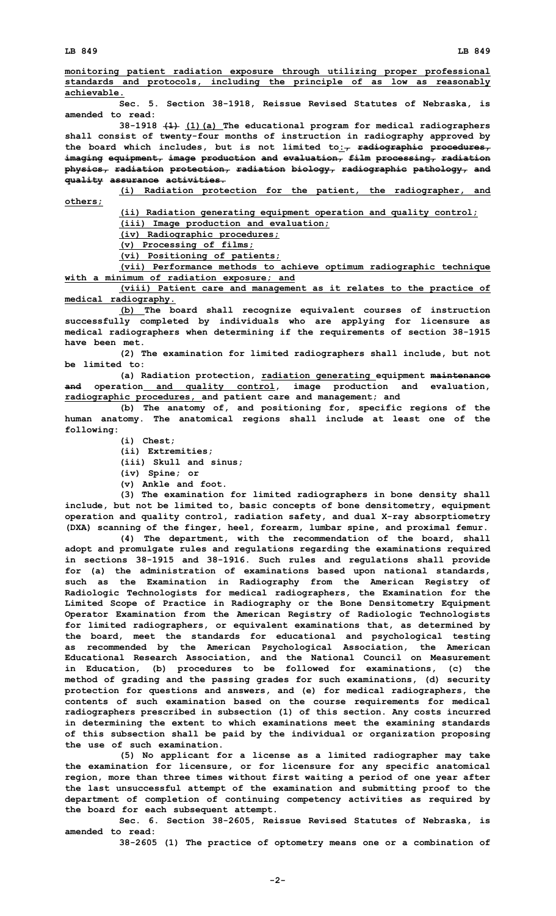**monitoring patient radiation exposure through utilizing proper professional standards and protocols, including the principle of as low as reasonably achievable.**

**Sec. 5. Section 38-1918, Reissue Revised Statutes of Nebraska, is amended to read:**

**38-1918 (1) (1)(a) The educational program for medical radiographers shall consist of twenty-four months of instruction in radiography approved by the board which includes, but is not limited to:, radiographic procedures, imaging equipment, image production and evaluation, film processing, radiation physics, radiation protection, radiation biology, radiographic pathology, and quality assurance activities.**

**(i) Radiation protection for the patient, the radiographer, and others;**

**(ii) Radiation generating equipment operation and quality control;**

**(iii) Image production and evaluation;**

**(iv) Radiographic procedures;**

**(v) Processing of films;**

**(vi) Positioning of patients;**

**(vii) Performance methods to achieve optimum radiographic technique with <sup>a</sup> minimum of radiation exposure; and**

**(viii) Patient care and management as it relates to the practice of medical radiography.**

**(b) The board shall recognize equivalent courses of instruction successfully completed by individuals who are applying for licensure as medical radiographers when determining if the requirements of section 38-1915 have been met.**

**(2) The examination for limited radiographers shall include, but not be limited to:**

**(a) Radiation protection, radiation generating equipment maintenance and operation and quality control, image production and evaluation, radiographic procedures, and patient care and management; and**

**(b) The anatomy of, and positioning for, specific regions of the human anatomy. The anatomical regions shall include at least one of the following:**

- **(i) Chest;**
- **(ii) Extremities;**
- **(iii) Skull and sinus;**
- **(iv) Spine; or**
- **(v) Ankle and foot.**

**(3) The examination for limited radiographers in bone density shall include, but not be limited to, basic concepts of bone densitometry, equipment operation and quality control, radiation safety, and dual X-ray absorptiometry (DXA) scanning of the finger, heel, forearm, lumbar spine, and proximal femur.**

**(4) The department, with the recommendation of the board, shall adopt and promulgate rules and regulations regarding the examinations required in sections 38-1915 and 38-1916. Such rules and regulations shall provide for (a) the administration of examinations based upon national standards, such as the Examination in Radiography from the American Registry of Radiologic Technologists for medical radiographers, the Examination for the Limited Scope of Practice in Radiography or the Bone Densitometry Equipment Operator Examination from the American Registry of Radiologic Technologists for limited radiographers, or equivalent examinations that, as determined by the board, meet the standards for educational and psychological testing as recommended by the American Psychological Association, the American Educational Research Association, and the National Council on Measurement in Education, (b) procedures to be followed for examinations, (c) the method of grading and the passing grades for such examinations, (d) security protection for questions and answers, and (e) for medical radiographers, the contents of such examination based on the course requirements for medical radiographers prescribed in subsection (1) of this section. Any costs incurred in determining the extent to which examinations meet the examining standards of this subsection shall be paid by the individual or organization proposing the use of such examination.**

**(5) No applicant for <sup>a</sup> license as <sup>a</sup> limited radiographer may take the examination for licensure, or for licensure for any specific anatomical region, more than three times without first waiting <sup>a</sup> period of one year after the last unsuccessful attempt of the examination and submitting proof to the department of completion of continuing competency activities as required by the board for each subsequent attempt.**

**Sec. 6. Section 38-2605, Reissue Revised Statutes of Nebraska, is amended to read:**

**38-2605 (1) The practice of optometry means one or <sup>a</sup> combination of**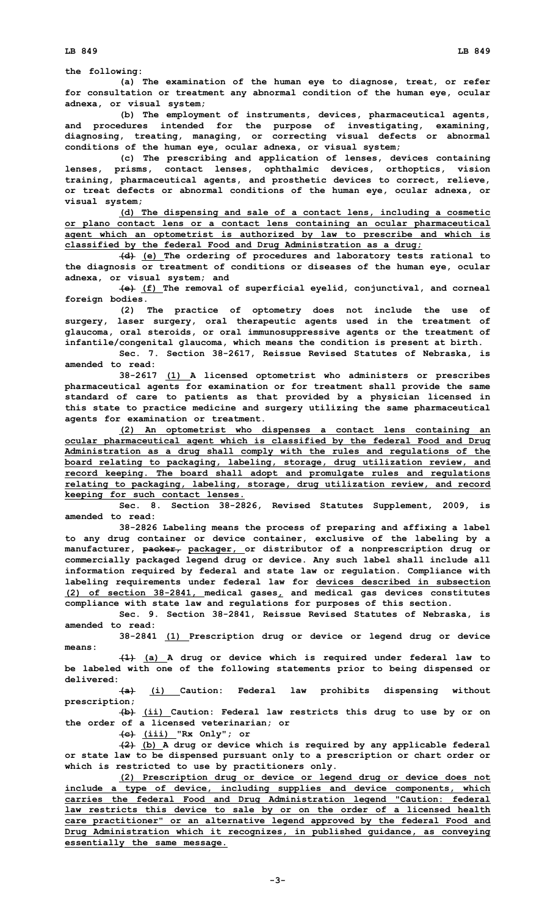**the following:**

**(a) The examination of the human eye to diagnose, treat, or refer for consultation or treatment any abnormal condition of the human eye, ocular adnexa, or visual system;**

**(b) The employment of instruments, devices, pharmaceutical agents, and procedures intended for the purpose of investigating, examining, diagnosing, treating, managing, or correcting visual defects or abnormal conditions of the human eye, ocular adnexa, or visual system;**

**(c) The prescribing and application of lenses, devices containing lenses, prisms, contact lenses, ophthalmic devices, orthoptics, vision training, pharmaceutical agents, and prosthetic devices to correct, relieve, or treat defects or abnormal conditions of the human eye, ocular adnexa, or visual system;**

**(d) The dispensing and sale of <sup>a</sup> contact lens, including <sup>a</sup> cosmetic or plano contact lens or <sup>a</sup> contact lens containing an ocular pharmaceutical agent which an optometrist is authorized by law to prescribe and which is classified by the federal Food and Drug Administration as <sup>a</sup> drug;**

**(d) (e) The ordering of procedures and laboratory tests rational to the diagnosis or treatment of conditions or diseases of the human eye, ocular adnexa, or visual system; and**

**(e) (f) The removal of superficial eyelid, conjunctival, and corneal foreign bodies.**

**(2) The practice of optometry does not include the use of surgery, laser surgery, oral therapeutic agents used in the treatment of glaucoma, oral steroids, or oral immunosuppressive agents or the treatment of infantile/congenital glaucoma, which means the condition is present at birth.**

**Sec. 7. Section 38-2617, Reissue Revised Statutes of Nebraska, is amended to read:**

**38-2617 (1) <sup>A</sup> licensed optometrist who administers or prescribes pharmaceutical agents for examination or for treatment shall provide the same standard of care to patients as that provided by <sup>a</sup> physician licensed in this state to practice medicine and surgery utilizing the same pharmaceutical agents for examination or treatment.**

**(2) An optometrist who dispenses <sup>a</sup> contact lens containing an ocular pharmaceutical agent which is classified by the federal Food and Drug Administration as <sup>a</sup> drug shall comply with the rules and regulations of the board relating to packaging, labeling, storage, drug utilization review, and record keeping. The board shall adopt and promulgate rules and regulations relating to packaging, labeling, storage, drug utilization review, and record keeping for such contact lenses.**

**Sec. 8. Section 38-2826, Revised Statutes Supplement, 2009, is amended to read:**

**38-2826 Labeling means the process of preparing and affixing <sup>a</sup> label to any drug container or device container, exclusive of the labeling by <sup>a</sup> manufacturer, packer, packager, or distributor of <sup>a</sup> nonprescription drug or commercially packaged legend drug or device. Any such label shall include all information required by federal and state law or regulation. Compliance with labeling requirements under federal law for devices described in subsection (2) of section 38-2841, medical gases, and medical gas devices constitutes compliance with state law and regulations for purposes of this section.**

**Sec. 9. Section 38-2841, Reissue Revised Statutes of Nebraska, is amended to read:**

**38-2841 (1) Prescription drug or device or legend drug or device means:**

**(1) (a) <sup>A</sup> drug or device which is required under federal law to be labeled with one of the following statements prior to being dispensed or delivered:**

**(a) (i) Caution: Federal law prohibits dispensing without prescription;**

**(b) (ii) Caution: Federal law restricts this drug to use by or on the order of <sup>a</sup> licensed veterinarian; or**

**(c) (iii) "Rx Only"; or**

**(2) (b) <sup>A</sup> drug or device which is required by any applicable federal or state law to be dispensed pursuant only to <sup>a</sup> prescription or chart order or which is restricted to use by practitioners only.**

**(2) Prescription drug or device or legend drug or device does not include <sup>a</sup> type of device, including supplies and device components, which carries the federal Food and Drug Administration legend "Caution: federal law restricts this device to sale by or on the order of <sup>a</sup> licensed health care practitioner" or an alternative legend approved by the federal Food and Drug Administration which it recognizes, in published guidance, as conveying essentially the same message.**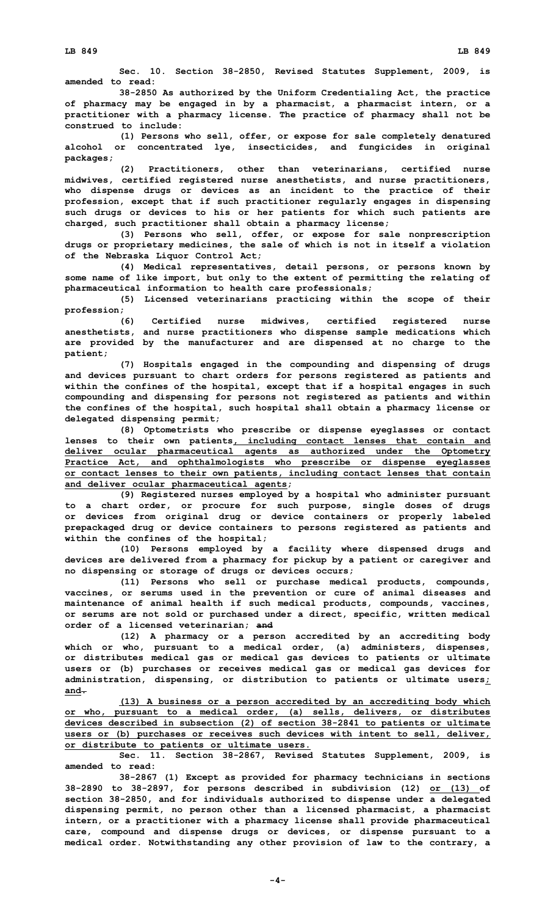**Sec. 10. Section 38-2850, Revised Statutes Supplement, 2009, is amended to read:**

**38-2850 As authorized by the Uniform Credentialing Act, the practice of pharmacy may be engaged in by <sup>a</sup> pharmacist, <sup>a</sup> pharmacist intern, or <sup>a</sup> practitioner with <sup>a</sup> pharmacy license. The practice of pharmacy shall not be construed to include:**

**(1) Persons who sell, offer, or expose for sale completely denatured alcohol or concentrated lye, insecticides, and fungicides in original packages;**

**(2) Practitioners, other than veterinarians, certified nurse midwives, certified registered nurse anesthetists, and nurse practitioners, who dispense drugs or devices as an incident to the practice of their profession, except that if such practitioner regularly engages in dispensing such drugs or devices to his or her patients for which such patients are charged, such practitioner shall obtain <sup>a</sup> pharmacy license;**

**(3) Persons who sell, offer, or expose for sale nonprescription drugs or proprietary medicines, the sale of which is not in itself <sup>a</sup> violation of the Nebraska Liquor Control Act;**

**(4) Medical representatives, detail persons, or persons known by some name of like import, but only to the extent of permitting the relating of pharmaceutical information to health care professionals;**

**(5) Licensed veterinarians practicing within the scope of their profession;**

**(6) Certified nurse midwives, certified registered nurse anesthetists, and nurse practitioners who dispense sample medications which are provided by the manufacturer and are dispensed at no charge to the patient;**

**(7) Hospitals engaged in the compounding and dispensing of drugs and devices pursuant to chart orders for persons registered as patients and within the confines of the hospital, except that if <sup>a</sup> hospital engages in such compounding and dispensing for persons not registered as patients and within the confines of the hospital, such hospital shall obtain <sup>a</sup> pharmacy license or delegated dispensing permit;**

**(8) Optometrists who prescribe or dispense eyeglasses or contact lenses to their own patients, including contact lenses that contain and deliver ocular pharmaceutical agents as authorized under the Optometry Practice Act, and ophthalmologists who prescribe or dispense eyeglasses or contact lenses to their own patients, including contact lenses that contain and deliver ocular pharmaceutical agents;**

**(9) Registered nurses employed by <sup>a</sup> hospital who administer pursuant to <sup>a</sup> chart order, or procure for such purpose, single doses of drugs or devices from original drug or device containers or properly labeled prepackaged drug or device containers to persons registered as patients and within the confines of the hospital;**

**(10) Persons employed by <sup>a</sup> facility where dispensed drugs and devices are delivered from <sup>a</sup> pharmacy for pickup by <sup>a</sup> patient or caregiver and no dispensing or storage of drugs or devices occurs;**

**(11) Persons who sell or purchase medical products, compounds, vaccines, or serums used in the prevention or cure of animal diseases and maintenance of animal health if such medical products, compounds, vaccines, or serums are not sold or purchased under <sup>a</sup> direct, specific, written medical order of <sup>a</sup> licensed veterinarian; and**

**(12) <sup>A</sup> pharmacy or <sup>a</sup> person accredited by an accrediting body which or who, pursuant to <sup>a</sup> medical order, (a) administers, dispenses, or distributes medical gas or medical gas devices to patients or ultimate users or (b) purchases or receives medical gas or medical gas devices for administration, dispensing, or distribution to patients or ultimate users; and.**

**(13) <sup>A</sup> business or <sup>a</sup> person accredited by an accrediting body which or who, pursuant to <sup>a</sup> medical order, (a) sells, delivers, or distributes devices described in subsection (2) of section 38-2841 to patients or ultimate users or (b) purchases or receives such devices with intent to sell, deliver, or distribute to patients or ultimate users.**

**Sec. 11. Section 38-2867, Revised Statutes Supplement, 2009, is amended to read:**

**38-2867 (1) Except as provided for pharmacy technicians in sections 38-2890 to 38-2897, for persons described in subdivision (12) or (13) of section 38-2850, and for individuals authorized to dispense under <sup>a</sup> delegated dispensing permit, no person other than <sup>a</sup> licensed pharmacist, <sup>a</sup> pharmacist intern, or <sup>a</sup> practitioner with <sup>a</sup> pharmacy license shall provide pharmaceutical care, compound and dispense drugs or devices, or dispense pursuant to <sup>a</sup> medical order. Notwithstanding any other provision of law to the contrary, <sup>a</sup>**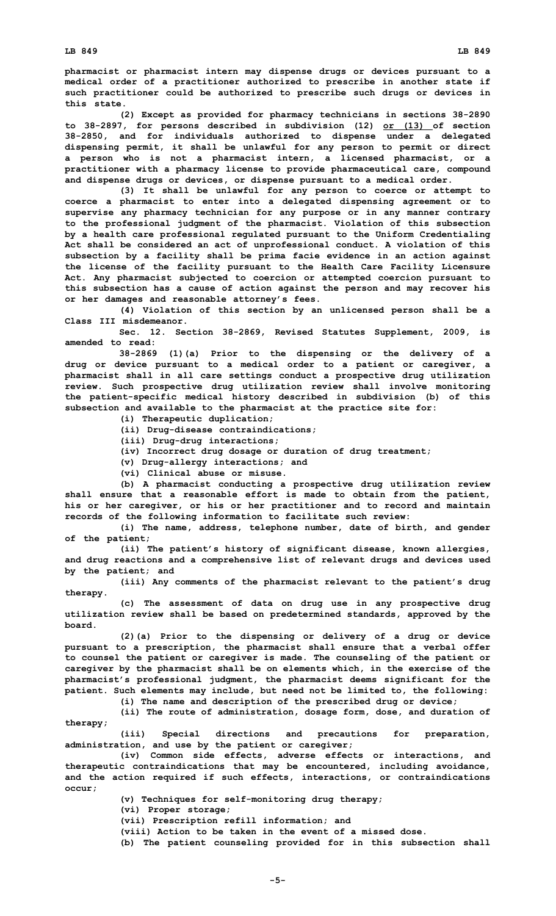**pharmacist or pharmacist intern may dispense drugs or devices pursuant to <sup>a</sup> medical order of <sup>a</sup> practitioner authorized to prescribe in another state if such practitioner could be authorized to prescribe such drugs or devices in this state.**

**(2) Except as provided for pharmacy technicians in sections 38-2890 to 38-2897, for persons described in subdivision (12) or (13) of section 38-2850, and for individuals authorized to dispense under <sup>a</sup> delegated dispensing permit, it shall be unlawful for any person to permit or direct <sup>a</sup> person who is not <sup>a</sup> pharmacist intern, <sup>a</sup> licensed pharmacist, or <sup>a</sup> practitioner with <sup>a</sup> pharmacy license to provide pharmaceutical care, compound and dispense drugs or devices, or dispense pursuant to <sup>a</sup> medical order.**

**(3) It shall be unlawful for any person to coerce or attempt to coerce <sup>a</sup> pharmacist to enter into <sup>a</sup> delegated dispensing agreement or to supervise any pharmacy technician for any purpose or in any manner contrary to the professional judgment of the pharmacist. Violation of this subsection by <sup>a</sup> health care professional regulated pursuant to the Uniform Credentialing Act shall be considered an act of unprofessional conduct. A violation of this subsection by <sup>a</sup> facility shall be prima facie evidence in an action against the license of the facility pursuant to the Health Care Facility Licensure Act. Any pharmacist subjected to coercion or attempted coercion pursuant to this subsection has <sup>a</sup> cause of action against the person and may recover his or her damages and reasonable attorney's fees.**

**(4) Violation of this section by an unlicensed person shall be <sup>a</sup> Class III misdemeanor.**

**Sec. 12. Section 38-2869, Revised Statutes Supplement, 2009, is amended to read:**

**38-2869 (1)(a) Prior to the dispensing or the delivery of <sup>a</sup> drug or device pursuant to <sup>a</sup> medical order to <sup>a</sup> patient or caregiver, <sup>a</sup> pharmacist shall in all care settings conduct <sup>a</sup> prospective drug utilization review. Such prospective drug utilization review shall involve monitoring the patient-specific medical history described in subdivision (b) of this subsection and available to the pharmacist at the practice site for:**

- **(i) Therapeutic duplication;**
- **(ii) Drug-disease contraindications;**
- **(iii) Drug-drug interactions;**
- **(iv) Incorrect drug dosage or duration of drug treatment;**
- **(v) Drug-allergy interactions; and**
- **(vi) Clinical abuse or misuse.**

**(b) <sup>A</sup> pharmacist conducting <sup>a</sup> prospective drug utilization review shall ensure that <sup>a</sup> reasonable effort is made to obtain from the patient, his or her caregiver, or his or her practitioner and to record and maintain records of the following information to facilitate such review:**

**(i) The name, address, telephone number, date of birth, and gender of the patient;**

**(ii) The patient's history of significant disease, known allergies, and drug reactions and <sup>a</sup> comprehensive list of relevant drugs and devices used by the patient; and**

**(iii) Any comments of the pharmacist relevant to the patient's drug therapy.**

**(c) The assessment of data on drug use in any prospective drug utilization review shall be based on predetermined standards, approved by the board.**

**(2)(a) Prior to the dispensing or delivery of <sup>a</sup> drug or device pursuant to <sup>a</sup> prescription, the pharmacist shall ensure that <sup>a</sup> verbal offer to counsel the patient or caregiver is made. The counseling of the patient or caregiver by the pharmacist shall be on elements which, in the exercise of the pharmacist's professional judgment, the pharmacist deems significant for the patient. Such elements may include, but need not be limited to, the following:**

**(i) The name and description of the prescribed drug or device;**

**(ii) The route of administration, dosage form, dose, and duration of therapy;**

**(iii) Special directions and precautions for preparation, administration, and use by the patient or caregiver;**

**(iv) Common side effects, adverse effects or interactions, and therapeutic contraindications that may be encountered, including avoidance, and the action required if such effects, interactions, or contraindications occur;**

**(v) Techniques for self-monitoring drug therapy;**

**(vi) Proper storage;**

**(vii) Prescription refill information; and**

**(viii) Action to be taken in the event of <sup>a</sup> missed dose.**

**(b) The patient counseling provided for in this subsection shall**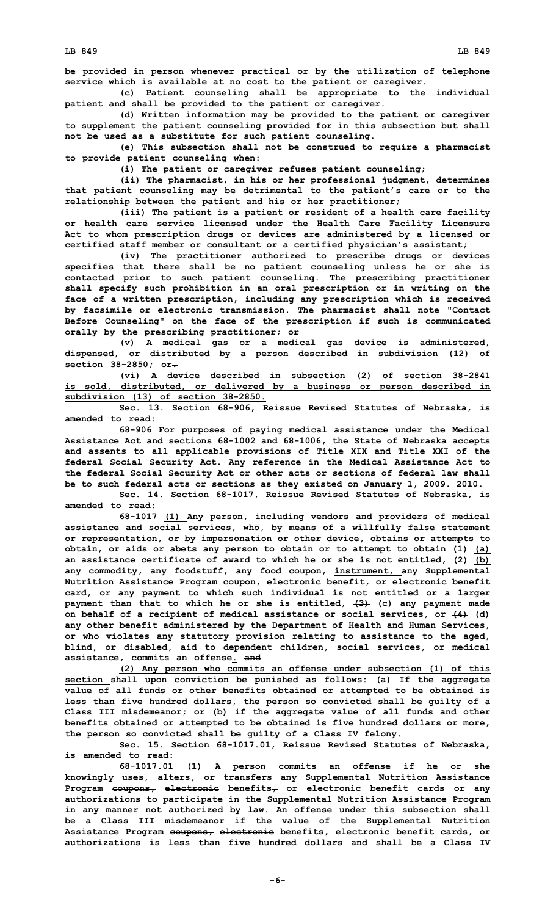**be provided in person whenever practical or by the utilization of telephone service which is available at no cost to the patient or caregiver.**

**(c) Patient counseling shall be appropriate to the individual patient and shall be provided to the patient or caregiver.**

**(d) Written information may be provided to the patient or caregiver to supplement the patient counseling provided for in this subsection but shall not be used as <sup>a</sup> substitute for such patient counseling.**

**(e) This subsection shall not be construed to require <sup>a</sup> pharmacist to provide patient counseling when:**

**(i) The patient or caregiver refuses patient counseling;**

**(ii) The pharmacist, in his or her professional judgment, determines that patient counseling may be detrimental to the patient's care or to the relationship between the patient and his or her practitioner;**

**(iii) The patient is <sup>a</sup> patient or resident of <sup>a</sup> health care facility or health care service licensed under the Health Care Facility Licensure Act to whom prescription drugs or devices are administered by <sup>a</sup> licensed or certified staff member or consultant or <sup>a</sup> certified physician's assistant;**

**(iv) The practitioner authorized to prescribe drugs or devices specifies that there shall be no patient counseling unless he or she is contacted prior to such patient counseling. The prescribing practitioner shall specify such prohibition in an oral prescription or in writing on the face of <sup>a</sup> written prescription, including any prescription which is received by facsimile or electronic transmission. The pharmacist shall note "Contact Before Counseling" on the face of the prescription if such is communicated orally by the prescribing practitioner; or**

**(v) <sup>A</sup> medical gas or <sup>a</sup> medical gas device is administered, dispensed, or distributed by <sup>a</sup> person described in subdivision (12) of section 38-2850; or.**

**(vi) A device described in subsection (2) of section 38-2841 is sold, distributed, or delivered by <sup>a</sup> business or person described in subdivision (13) of section 38-2850.**

**Sec. 13. Section 68-906, Reissue Revised Statutes of Nebraska, is amended to read:**

**68-906 For purposes of paying medical assistance under the Medical Assistance Act and sections 68-1002 and 68-1006, the State of Nebraska accepts and assents to all applicable provisions of Title XIX and Title XXI of the federal Social Security Act. Any reference in the Medical Assistance Act to the federal Social Security Act or other acts or sections of federal law shall be to such federal acts or sections as they existed on January 1, 2009. 2010.**

**Sec. 14. Section 68-1017, Reissue Revised Statutes of Nebraska, is amended to read:**

**68-1017 (1) Any person, including vendors and providers of medical assistance and social services, who, by means of <sup>a</sup> willfully false statement or representation, or by impersonation or other device, obtains or attempts to obtain, or aids or abets any person to obtain or to attempt to obtain (1) (a) an assistance certificate of award to which he or she is not entitled, (2) (b) any commodity, any foodstuff, any food coupon, instrument, any Supplemental Nutrition Assistance Program coupon, electronic benefit, or electronic benefit card, or any payment to which such individual is not entitled or <sup>a</sup> larger payment than that to which he or she is entitled, (3) (c) any payment made on behalf of <sup>a</sup> recipient of medical assistance or social services, or (4) (d) any other benefit administered by the Department of Health and Human Services, or who violates any statutory provision relating to assistance to the aged, blind, or disabled, aid to dependent children, social services, or medical assistance, commits an offense. and**

**(2) Any person who commits an offense under subsection (1) of this section shall upon conviction be punished as follows: (a) If the aggregate value of all funds or other benefits obtained or attempted to be obtained is less than five hundred dollars, the person so convicted shall be guilty of <sup>a</sup> Class III misdemeanor; or (b) if the aggregate value of all funds and other benefits obtained or attempted to be obtained is five hundred dollars or more, the person so convicted shall be guilty of <sup>a</sup> Class IV felony.**

**Sec. 15. Section 68-1017.01, Reissue Revised Statutes of Nebraska, is amended to read:**

**68-1017.01 (1) <sup>A</sup> person commits an offense if he or she knowingly uses, alters, or transfers any Supplemental Nutrition Assistance Program coupons, electronic benefits, or electronic benefit cards or any authorizations to participate in the Supplemental Nutrition Assistance Program in any manner not authorized by law. An offense under this subsection shall be <sup>a</sup> Class III misdemeanor if the value of the Supplemental Nutrition Assistance Program coupons, electronic benefits, electronic benefit cards, or authorizations is less than five hundred dollars and shall be a Class IV**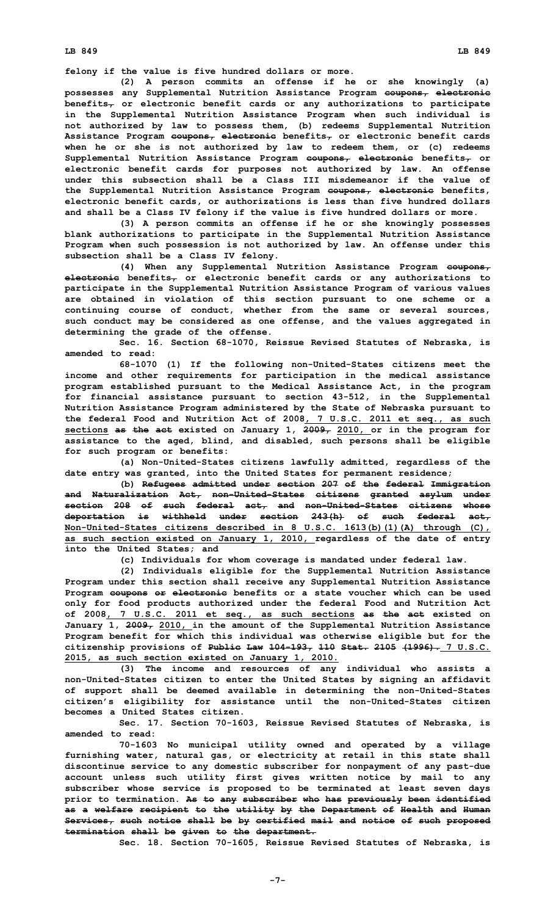**felony if the value is five hundred dollars or more.**

**(2) <sup>A</sup> person commits an offense if he or she knowingly (a) possesses any Supplemental Nutrition Assistance Program coupons, electronic benefits, or electronic benefit cards or any authorizations to participate in the Supplemental Nutrition Assistance Program when such individual is not authorized by law to possess them, (b) redeems Supplemental Nutrition Assistance Program coupons, electronic benefits, or electronic benefit cards when he or she is not authorized by law to redeem them, or (c) redeems Supplemental Nutrition Assistance Program coupons, electronic benefits, or electronic benefit cards for purposes not authorized by law. An offense under this subsection shall be a Class III misdemeanor if the value of the Supplemental Nutrition Assistance Program coupons, electronic benefits, electronic benefit cards, or authorizations is less than five hundred dollars and shall be <sup>a</sup> Class IV felony if the value is five hundred dollars or more.**

**(3) <sup>A</sup> person commits an offense if he or she knowingly possesses blank authorizations to participate in the Supplemental Nutrition Assistance Program when such possession is not authorized by law. An offense under this subsection shall be <sup>a</sup> Class IV felony.**

**(4) When any Supplemental Nutrition Assistance Program coupons, electronic benefits, or electronic benefit cards or any authorizations to participate in the Supplemental Nutrition Assistance Program of various values are obtained in violation of this section pursuant to one scheme or <sup>a</sup> continuing course of conduct, whether from the same or several sources, such conduct may be considered as one offense, and the values aggregated in determining the grade of the offense.**

**Sec. 16. Section 68-1070, Reissue Revised Statutes of Nebraska, is amended to read:**

**68-1070 (1) If the following non-United-States citizens meet the income and other requirements for participation in the medical assistance program established pursuant to the Medical Assistance Act, in the program for financial assistance pursuant to section 43-512, in the Supplemental Nutrition Assistance Program administered by the State of Nebraska pursuant to the federal Food and Nutrition Act of 2008, 7 U.S.C. 2011 et seq., as such sections as the act existed on January 1, 2009, 2010, or in the program for assistance to the aged, blind, and disabled, such persons shall be eligible for such program or benefits:**

**(a) Non-United-States citizens lawfully admitted, regardless of the date entry was granted, into the United States for permanent residence;**

**(b) Refugees admitted under section 207 of the federal Immigration and Naturalization Act, non-United-States citizens granted asylum under section 208 of such federal act, and non-United-States citizens whose deportation is withheld under section 243(h) of such federal act, Non-United-States citizens described in 8 U.S.C. 1613(b)(1)(A) through (C), as such section existed on January 1, 2010, regardless of the date of entry into the United States; and**

**(c) Individuals for whom coverage is mandated under federal law.**

**(2) Individuals eligible for the Supplemental Nutrition Assistance Program under this section shall receive any Supplemental Nutrition Assistance Program coupons or electronic benefits or <sup>a</sup> state voucher which can be used only for food products authorized under the federal Food and Nutrition Act of 2008, 7 U.S.C. 2011 et seq., as such sections as the act existed on January 1, 2009, 2010, in the amount of the Supplemental Nutrition Assistance Program benefit for which this individual was otherwise eligible but for the citizenship provisions of Public Law 104-193, 110 Stat. 2105 (1996). 7 U.S.C. 2015, as such section existed on January 1, 2010.**

**(3) The income and resources of any individual who assists <sup>a</sup> non-United-States citizen to enter the United States by signing an affidavit of support shall be deemed available in determining the non-United-States citizen's eligibility for assistance until the non-United-States citizen becomes a United States citizen.**

**Sec. 17. Section 70-1603, Reissue Revised Statutes of Nebraska, is amended to read:**

**70-1603 No municipal utility owned and operated by <sup>a</sup> village furnishing water, natural gas, or electricity at retail in this state shall discontinue service to any domestic subscriber for nonpayment of any past-due account unless such utility first gives written notice by mail to any subscriber whose service is proposed to be terminated at least seven days prior to termination. As to any subscriber who has previously been identified as <sup>a</sup> welfare recipient to the utility by the Department of Health and Human Services, such notice shall be by certified mail and notice of such proposed termination shall be given to the department.**

**Sec. 18. Section 70-1605, Reissue Revised Statutes of Nebraska, is**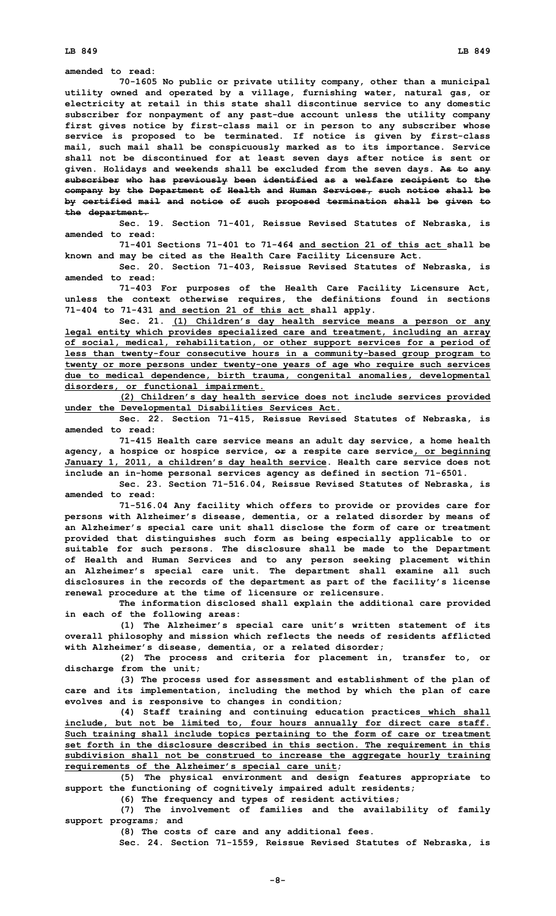**amended to read:**

**70-1605 No public or private utility company, other than <sup>a</sup> municipal utility owned and operated by <sup>a</sup> village, furnishing water, natural gas, or electricity at retail in this state shall discontinue service to any domestic subscriber for nonpayment of any past-due account unless the utility company first gives notice by first-class mail or in person to any subscriber whose service is proposed to be terminated. If notice is given by first-class mail, such mail shall be conspicuously marked as to its importance. Service shall not be discontinued for at least seven days after notice is sent or given. Holidays and weekends shall be excluded from the seven days. As to any subscriber who has previously been identified as <sup>a</sup> welfare recipient to the company by the Department of Health and Human Services, such notice shall be by certified mail and notice of such proposed termination shall be given to the department.**

**Sec. 19. Section 71-401, Reissue Revised Statutes of Nebraska, is amended to read:**

**71-401 Sections 71-401 to 71-464 and section 21 of this act shall be known and may be cited as the Health Care Facility Licensure Act.**

**Sec. 20. Section 71-403, Reissue Revised Statutes of Nebraska, is amended to read:**

**71-403 For purposes of the Health Care Facility Licensure Act, unless the context otherwise requires, the definitions found in sections 71-404 to 71-431 and section 21 of this act shall apply.**

**Sec. 21. (1) Children's day health service means <sup>a</sup> person or any legal entity which provides specialized care and treatment, including an array of social, medical, rehabilitation, or other support services for <sup>a</sup> period of less than twenty-four consecutive hours in <sup>a</sup> community-based group program to twenty or more persons under twenty-one years of age who require such services due to medical dependence, birth trauma, congenital anomalies, developmental disorders, or functional impairment.**

**(2) Children's day health service does not include services provided under the Developmental Disabilities Services Act.**

**Sec. 22. Section 71-415, Reissue Revised Statutes of Nebraska, is amended to read:**

**71-415 Health care service means an adult day service, <sup>a</sup> home health agency, <sup>a</sup> hospice or hospice service, or <sup>a</sup> respite care service, or beginning January 1, 2011, <sup>a</sup> children's day health service. Health care service does not include an in-home personal services agency as defined in section 71-6501.**

**Sec. 23. Section 71-516.04, Reissue Revised Statutes of Nebraska, is amended to read:**

**71-516.04 Any facility which offers to provide or provides care for persons with Alzheimer's disease, dementia, or <sup>a</sup> related disorder by means of an Alzheimer's special care unit shall disclose the form of care or treatment provided that distinguishes such form as being especially applicable to or suitable for such persons. The disclosure shall be made to the Department of Health and Human Services and to any person seeking placement within an Alzheimer's special care unit. The department shall examine all such disclosures in the records of the department as part of the facility's license renewal procedure at the time of licensure or relicensure.**

**The information disclosed shall explain the additional care provided in each of the following areas:**

**(1) The Alzheimer's special care unit's written statement of its overall philosophy and mission which reflects the needs of residents afflicted with Alzheimer's disease, dementia, or <sup>a</sup> related disorder;**

**(2) The process and criteria for placement in, transfer to, or discharge from the unit;**

**(3) The process used for assessment and establishment of the plan of care and its implementation, including the method by which the plan of care evolves and is responsive to changes in condition;**

**(4) Staff training and continuing education practices which shall include, but not be limited to, four hours annually for direct care staff. Such training shall include topics pertaining to the form of care or treatment set forth in the disclosure described in this section. The requirement in this subdivision shall not be construed to increase the aggregate hourly training requirements of the Alzheimer's special care unit;**

**(5) The physical environment and design features appropriate to support the functioning of cognitively impaired adult residents;**

**(6) The frequency and types of resident activities;**

**(7) The involvement of families and the availability of family support programs; and**

**(8) The costs of care and any additional fees.**

**Sec. 24. Section 71-1559, Reissue Revised Statutes of Nebraska, is**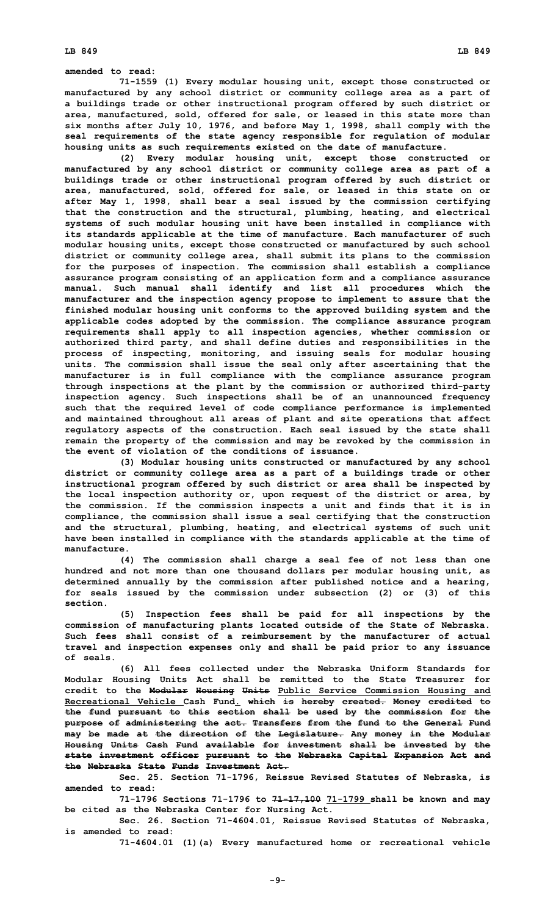**amended to read:**

**71-1559 (1) Every modular housing unit, except those constructed or manufactured by any school district or community college area as <sup>a</sup> part of <sup>a</sup> buildings trade or other instructional program offered by such district or area, manufactured, sold, offered for sale, or leased in this state more than six months after July 10, 1976, and before May 1, 1998, shall comply with the seal requirements of the state agency responsible for regulation of modular housing units as such requirements existed on the date of manufacture.**

**(2) Every modular housing unit, except those constructed or manufactured by any school district or community college area as part of <sup>a</sup> buildings trade or other instructional program offered by such district or area, manufactured, sold, offered for sale, or leased in this state on or after May 1, 1998, shall bear <sup>a</sup> seal issued by the commission certifying that the construction and the structural, plumbing, heating, and electrical systems of such modular housing unit have been installed in compliance with its standards applicable at the time of manufacture. Each manufacturer of such modular housing units, except those constructed or manufactured by such school district or community college area, shall submit its plans to the commission for the purposes of inspection. The commission shall establish <sup>a</sup> compliance assurance program consisting of an application form and <sup>a</sup> compliance assurance manual. Such manual shall identify and list all procedures which the manufacturer and the inspection agency propose to implement to assure that the finished modular housing unit conforms to the approved building system and the applicable codes adopted by the commission. The compliance assurance program requirements shall apply to all inspection agencies, whether commission or authorized third party, and shall define duties and responsibilities in the process of inspecting, monitoring, and issuing seals for modular housing units. The commission shall issue the seal only after ascertaining that the manufacturer is in full compliance with the compliance assurance program through inspections at the plant by the commission or authorized third-party inspection agency. Such inspections shall be of an unannounced frequency such that the required level of code compliance performance is implemented and maintained throughout all areas of plant and site operations that affect regulatory aspects of the construction. Each seal issued by the state shall remain the property of the commission and may be revoked by the commission in the event of violation of the conditions of issuance.**

**(3) Modular housing units constructed or manufactured by any school district or community college area as <sup>a</sup> part of <sup>a</sup> buildings trade or other instructional program offered by such district or area shall be inspected by the local inspection authority or, upon request of the district or area, by the commission. If the commission inspects <sup>a</sup> unit and finds that it is in compliance, the commission shall issue <sup>a</sup> seal certifying that the construction and the structural, plumbing, heating, and electrical systems of such unit have been installed in compliance with the standards applicable at the time of manufacture.**

**(4) The commission shall charge <sup>a</sup> seal fee of not less than one hundred and not more than one thousand dollars per modular housing unit, as determined annually by the commission after published notice and <sup>a</sup> hearing, for seals issued by the commission under subsection (2) or (3) of this section.**

**(5) Inspection fees shall be paid for all inspections by the commission of manufacturing plants located outside of the State of Nebraska. Such fees shall consist of <sup>a</sup> reimbursement by the manufacturer of actual travel and inspection expenses only and shall be paid prior to any issuance of seals.**

**(6) All fees collected under the Nebraska Uniform Standards for Modular Housing Units Act shall be remitted to the State Treasurer for credit to the Modular Housing Units Public Service Commission Housing and Recreational Vehicle Cash Fund. which is hereby created. Money credited to the fund pursuant to this section shall be used by the commission for the purpose of administering the act. Transfers from the fund to the General Fund may be made at the direction of the Legislature. Any money in the Modular Housing Units Cash Fund available for investment shall be invested by the state investment officer pursuant to the Nebraska Capital Expansion Act and the Nebraska State Funds Investment Act.**

**Sec. 25. Section 71-1796, Reissue Revised Statutes of Nebraska, is amended to read:**

**71-1796 Sections 71-1796 to 71-17,100 71-1799 shall be known and may be cited as the Nebraska Center for Nursing Act.**

**Sec. 26. Section 71-4604.01, Reissue Revised Statutes of Nebraska, is amended to read:**

**71-4604.01 (1)(a) Every manufactured home or recreational vehicle**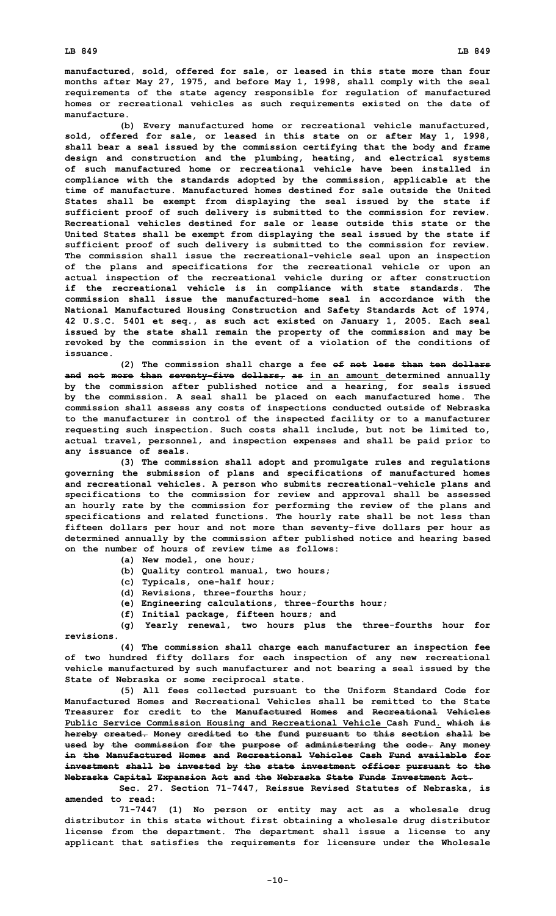**manufactured, sold, offered for sale, or leased in this state more than four months after May 27, 1975, and before May 1, 1998, shall comply with the seal requirements of the state agency responsible for regulation of manufactured homes or recreational vehicles as such requirements existed on the date of manufacture.**

**(b) Every manufactured home or recreational vehicle manufactured, sold, offered for sale, or leased in this state on or after May 1, 1998, shall bear <sup>a</sup> seal issued by the commission certifying that the body and frame design and construction and the plumbing, heating, and electrical systems of such manufactured home or recreational vehicle have been installed in compliance with the standards adopted by the commission, applicable at the time of manufacture. Manufactured homes destined for sale outside the United States shall be exempt from displaying the seal issued by the state if sufficient proof of such delivery is submitted to the commission for review. Recreational vehicles destined for sale or lease outside this state or the United States shall be exempt from displaying the seal issued by the state if sufficient proof of such delivery is submitted to the commission for review. The commission shall issue the recreational-vehicle seal upon an inspection of the plans and specifications for the recreational vehicle or upon an actual inspection of the recreational vehicle during or after construction if the recreational vehicle is in compliance with state standards. The commission shall issue the manufactured-home seal in accordance with the National Manufactured Housing Construction and Safety Standards Act of 1974, 42 U.S.C. 5401 et seq., as such act existed on January 1, 2005. Each seal issued by the state shall remain the property of the commission and may be revoked by the commission in the event of <sup>a</sup> violation of the conditions of issuance.**

**(2) The commission shall charge <sup>a</sup> fee of not less than ten dollars and not more than seventy-five dollars, as in an amount determined annually by the commission after published notice and <sup>a</sup> hearing, for seals issued by the commission. A seal shall be placed on each manufactured home. The commission shall assess any costs of inspections conducted outside of Nebraska to the manufacturer in control of the inspected facility or to <sup>a</sup> manufacturer requesting such inspection. Such costs shall include, but not be limited to, actual travel, personnel, and inspection expenses and shall be paid prior to any issuance of seals.**

**(3) The commission shall adopt and promulgate rules and regulations governing the submission of plans and specifications of manufactured homes and recreational vehicles. A person who submits recreational-vehicle plans and specifications to the commission for review and approval shall be assessed an hourly rate by the commission for performing the review of the plans and specifications and related functions. The hourly rate shall be not less than fifteen dollars per hour and not more than seventy-five dollars per hour as determined annually by the commission after published notice and hearing based on the number of hours of review time as follows:**

- **(a) New model, one hour;**
- **(b) Quality control manual, two hours;**
- **(c) Typicals, one-half hour;**
- **(d) Revisions, three-fourths hour;**
- **(e) Engineering calculations, three-fourths hour;**
- **(f) Initial package, fifteen hours; and**

**(g) Yearly renewal, two hours plus the three-fourths hour for revisions.**

**(4) The commission shall charge each manufacturer an inspection fee of two hundred fifty dollars for each inspection of any new recreational vehicle manufactured by such manufacturer and not bearing <sup>a</sup> seal issued by the State of Nebraska or some reciprocal state.**

**(5) All fees collected pursuant to the Uniform Standard Code for Manufactured Homes and Recreational Vehicles shall be remitted to the State Treasurer for credit to the Manufactured Homes and Recreational Vehicles Public Service Commission Housing and Recreational Vehicle Cash Fund. which is hereby created. Money credited to the fund pursuant to this section shall be used by the commission for the purpose of administering the code. Any money in the Manufactured Homes and Recreational Vehicles Cash Fund available for investment shall be invested by the state investment officer pursuant to the Nebraska Capital Expansion Act and the Nebraska State Funds Investment Act.**

**Sec. 27. Section 71-7447, Reissue Revised Statutes of Nebraska, is amended to read:**

**71-7447 (1) No person or entity may act as <sup>a</sup> wholesale drug distributor in this state without first obtaining <sup>a</sup> wholesale drug distributor license from the department. The department shall issue <sup>a</sup> license to any applicant that satisfies the requirements for licensure under the Wholesale**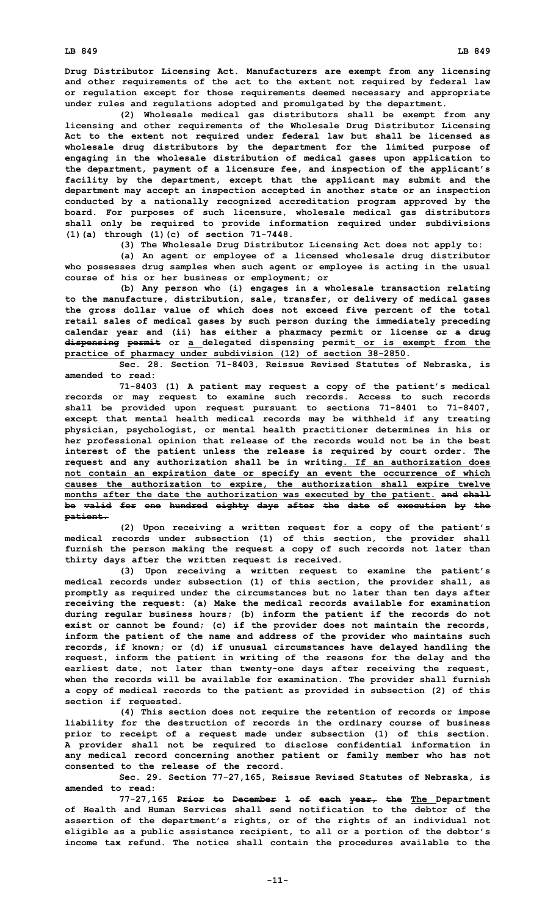**Drug Distributor Licensing Act. Manufacturers are exempt from any licensing and other requirements of the act to the extent not required by federal law or regulation except for those requirements deemed necessary and appropriate under rules and regulations adopted and promulgated by the department.**

**(2) Wholesale medical gas distributors shall be exempt from any licensing and other requirements of the Wholesale Drug Distributor Licensing Act to the extent not required under federal law but shall be licensed as wholesale drug distributors by the department for the limited purpose of engaging in the wholesale distribution of medical gases upon application to the department, payment of <sup>a</sup> licensure fee, and inspection of the applicant's facility by the department, except that the applicant may submit and the department may accept an inspection accepted in another state or an inspection conducted by <sup>a</sup> nationally recognized accreditation program approved by the board. For purposes of such licensure, wholesale medical gas distributors shall only be required to provide information required under subdivisions (1)(a) through (1)(c) of section 71-7448.**

**(3) The Wholesale Drug Distributor Licensing Act does not apply to:**

**(a) An agent or employee of <sup>a</sup> licensed wholesale drug distributor who possesses drug samples when such agent or employee is acting in the usual course of his or her business or employment; or**

**(b) Any person who (i) engages in <sup>a</sup> wholesale transaction relating to the manufacture, distribution, sale, transfer, or delivery of medical gases the gross dollar value of which does not exceed five percent of the total retail sales of medical gases by such person during the immediately preceding calendar year and (ii) has either <sup>a</sup> pharmacy permit or license or <sup>a</sup> drug dispensing permit or <sup>a</sup> delegated dispensing permit or is exempt from the practice of pharmacy under subdivision (12) of section 38-2850.**

**Sec. 28. Section 71-8403, Reissue Revised Statutes of Nebraska, is amended to read:**

**71-8403 (1) <sup>A</sup> patient may request <sup>a</sup> copy of the patient's medical records or may request to examine such records. Access to such records shall be provided upon request pursuant to sections 71-8401 to 71-8407, except that mental health medical records may be withheld if any treating physician, psychologist, or mental health practitioner determines in his or her professional opinion that release of the records would not be in the best interest of the patient unless the release is required by court order. The request and any authorization shall be in writing. If an authorization does not contain an expiration date or specify an event the occurrence of which causes the authorization to expire, the authorization shall expire twelve months after the date the authorization was executed by the patient. and shall be valid for one hundred eighty days after the date of execution by the patient.**

**(2) Upon receiving <sup>a</sup> written request for <sup>a</sup> copy of the patient's medical records under subsection (1) of this section, the provider shall furnish the person making the request <sup>a</sup> copy of such records not later than thirty days after the written request is received.**

**(3) Upon receiving <sup>a</sup> written request to examine the patient's medical records under subsection (1) of this section, the provider shall, as promptly as required under the circumstances but no later than ten days after receiving the request: (a) Make the medical records available for examination during regular business hours; (b) inform the patient if the records do not exist or cannot be found; (c) if the provider does not maintain the records, inform the patient of the name and address of the provider who maintains such records, if known; or (d) if unusual circumstances have delayed handling the request, inform the patient in writing of the reasons for the delay and the earliest date, not later than twenty-one days after receiving the request, when the records will be available for examination. The provider shall furnish <sup>a</sup> copy of medical records to the patient as provided in subsection (2) of this section if requested.**

**(4) This section does not require the retention of records or impose liability for the destruction of records in the ordinary course of business prior to receipt of <sup>a</sup> request made under subsection (1) of this section. A provider shall not be required to disclose confidential information in any medical record concerning another patient or family member who has not consented to the release of the record.**

**Sec. 29. Section 77-27,165, Reissue Revised Statutes of Nebraska, is amended to read:**

**77-27,165 Prior to December 1 of each year, the The Department of Health and Human Services shall send notification to the debtor of the assertion of the department's rights, or of the rights of an individual not eligible as <sup>a</sup> public assistance recipient, to all or <sup>a</sup> portion of the debtor's income tax refund. The notice shall contain the procedures available to the**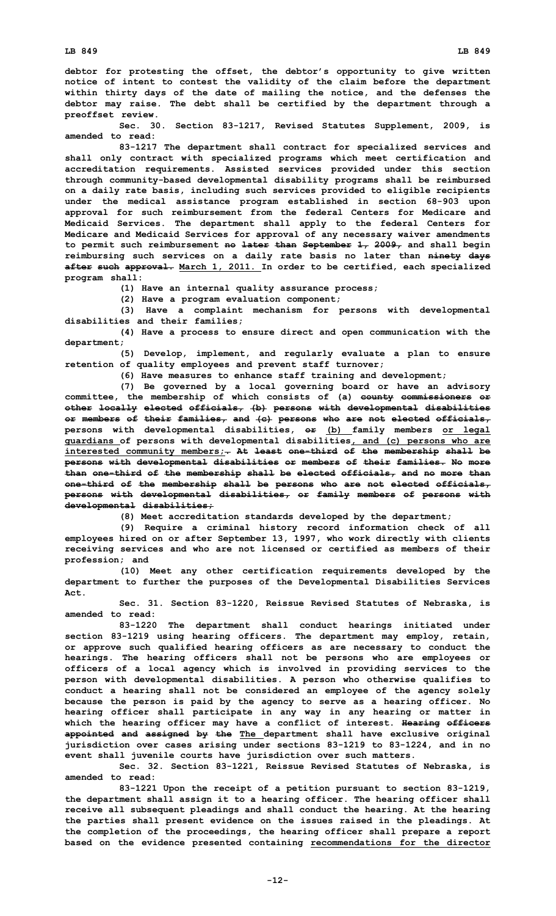**debtor for protesting the offset, the debtor's opportunity to give written notice of intent to contest the validity of the claim before the department within thirty days of the date of mailing the notice, and the defenses the debtor may raise. The debt shall be certified by the department through <sup>a</sup> preoffset review.**

**Sec. 30. Section 83-1217, Revised Statutes Supplement, 2009, is amended to read:**

**83-1217 The department shall contract for specialized services and shall only contract with specialized programs which meet certification and accreditation requirements. Assisted services provided under this section through community-based developmental disability programs shall be reimbursed on <sup>a</sup> daily rate basis, including such services provided to eligible recipients under the medical assistance program established in section 68-903 upon approval for such reimbursement from the federal Centers for Medicare and Medicaid Services. The department shall apply to the federal Centers for Medicare and Medicaid Services for approval of any necessary waiver amendments to permit such reimbursement no later than September 1, 2009, and shall begin reimbursing such services on <sup>a</sup> daily rate basis no later than ninety days after such approval. March 1, 2011. In order to be certified, each specialized program shall:**

**(1) Have an internal quality assurance process;**

**(2) Have <sup>a</sup> program evaluation component;**

**(3) Have <sup>a</sup> complaint mechanism for persons with developmental disabilities and their families;**

**(4) Have <sup>a</sup> process to ensure direct and open communication with the department;**

**(5) Develop, implement, and regularly evaluate <sup>a</sup> plan to ensure retention of quality employees and prevent staff turnover;**

**(6) Have measures to enhance staff training and development;**

**(7) Be governed by <sup>a</sup> local governing board or have an advisory committee, the membership of which consists of (a) county commissioners or other locally elected officials, (b) persons with developmental disabilities or members of their families, and (c) persons who are not elected officials, persons with developmental disabilities, or (b) family members or legal guardians of persons with developmental disabilities, and (c) persons who are interested community members;. At least one-third of the membership shall be persons with developmental disabilities or members of their families. No more than one-third of the membership shall be elected officials, and no more than one-third of the membership shall be persons who are not elected officials, persons with developmental disabilities, or family members of persons with developmental disabilities;**

**(8) Meet accreditation standards developed by the department;**

**(9) Require <sup>a</sup> criminal history record information check of all employees hired on or after September 13, 1997, who work directly with clients receiving services and who are not licensed or certified as members of their profession; and**

**(10) Meet any other certification requirements developed by the department to further the purposes of the Developmental Disabilities Services Act.**

**Sec. 31. Section 83-1220, Reissue Revised Statutes of Nebraska, is amended to read:**

**83-1220 The department shall conduct hearings initiated under section 83-1219 using hearing officers. The department may employ, retain, or approve such qualified hearing officers as are necessary to conduct the hearings. The hearing officers shall not be persons who are employees or officers of <sup>a</sup> local agency which is involved in providing services to the person with developmental disabilities. A person who otherwise qualifies to conduct <sup>a</sup> hearing shall not be considered an employee of the agency solely because the person is paid by the agency to serve as <sup>a</sup> hearing officer. No hearing officer shall participate in any way in any hearing or matter in which the hearing officer may have <sup>a</sup> conflict of interest. Hearing officers appointed and assigned by the The department shall have exclusive original jurisdiction over cases arising under sections 83-1219 to 83-1224, and in no event shall juvenile courts have jurisdiction over such matters.**

**Sec. 32. Section 83-1221, Reissue Revised Statutes of Nebraska, is amended to read:**

**83-1221 Upon the receipt of <sup>a</sup> petition pursuant to section 83-1219, the department shall assign it to <sup>a</sup> hearing officer. The hearing officer shall receive all subsequent pleadings and shall conduct the hearing. At the hearing the parties shall present evidence on the issues raised in the pleadings. At the completion of the proceedings, the hearing officer shall prepare <sup>a</sup> report based on the evidence presented containing recommendations for the director**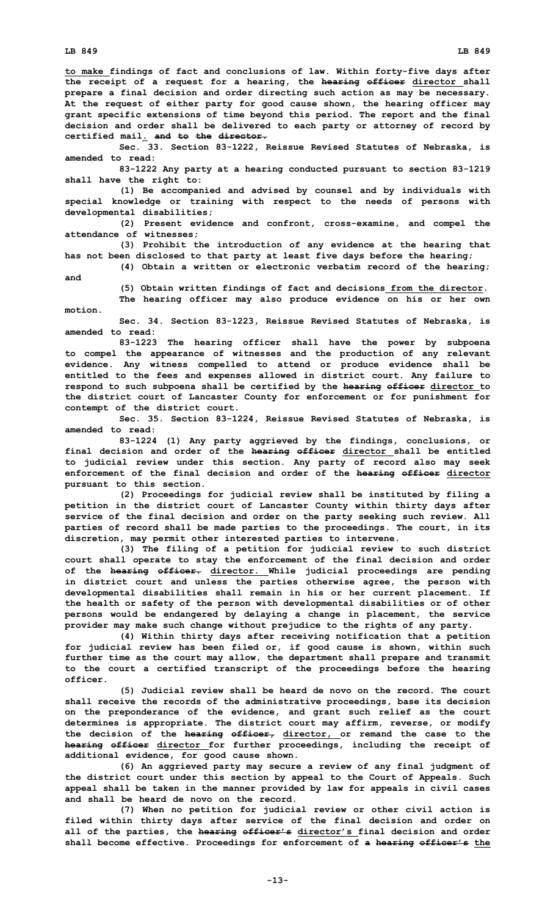**to make findings of fact and conclusions of law. Within forty-five days after the receipt of <sup>a</sup> request for <sup>a</sup> hearing, the hearing officer director shall prepare <sup>a</sup> final decision and order directing such action as may be necessary. At the request of either party for good cause shown, the hearing officer may grant specific extensions of time beyond this period. The report and the final decision and order shall be delivered to each party or attorney of record by certified mail. and to the director.**

**Sec. 33. Section 83-1222, Reissue Revised Statutes of Nebraska, is amended to read:**

**83-1222 Any party at <sup>a</sup> hearing conducted pursuant to section 83-1219 shall have the right to:**

**(1) Be accompanied and advised by counsel and by individuals with special knowledge or training with respect to the needs of persons with developmental disabilities;**

**(2) Present evidence and confront, cross-examine, and compel the attendance of witnesses;**

**(3) Prohibit the introduction of any evidence at the hearing that has not been disclosed to that party at least five days before the hearing;**

**(4) Obtain <sup>a</sup> written or electronic verbatim record of the hearing; and**

> **(5) Obtain written findings of fact and decisions from the director. The hearing officer may also produce evidence on his or her own**

**motion.**

**Sec. 34. Section 83-1223, Reissue Revised Statutes of Nebraska, is amended to read:**

**83-1223 The hearing officer shall have the power by subpoena to compel the appearance of witnesses and the production of any relevant evidence. Any witness compelled to attend or produce evidence shall be entitled to the fees and expenses allowed in district court. Any failure to respond to such subpoena shall be certified by the hearing officer director to the district court of Lancaster County for enforcement or for punishment for contempt of the district court.**

**Sec. 35. Section 83-1224, Reissue Revised Statutes of Nebraska, is amended to read:**

**83-1224 (1) Any party aggrieved by the findings, conclusions, or final decision and order of the hearing officer director shall be entitled to judicial review under this section. Any party of record also may seek enforcement of the final decision and order of the hearing officer director pursuant to this section.**

**(2) Proceedings for judicial review shall be instituted by filing <sup>a</sup> petition in the district court of Lancaster County within thirty days after service of the final decision and order on the party seeking such review. All parties of record shall be made parties to the proceedings. The court, in its discretion, may permit other interested parties to intervene.**

**(3) The filing of <sup>a</sup> petition for judicial review to such district court shall operate to stay the enforcement of the final decision and order of the hearing officer. director. While judicial proceedings are pending in district court and unless the parties otherwise agree, the person with developmental disabilities shall remain in his or her current placement. If the health or safety of the person with developmental disabilities or of other persons would be endangered by delaying <sup>a</sup> change in placement, the service provider may make such change without prejudice to the rights of any party.**

**(4) Within thirty days after receiving notification that <sup>a</sup> petition for judicial review has been filed or, if good cause is shown, within such further time as the court may allow, the department shall prepare and transmit to the court <sup>a</sup> certified transcript of the proceedings before the hearing officer.**

**(5) Judicial review shall be heard de novo on the record. The court shall receive the records of the administrative proceedings, base its decision on the preponderance of the evidence, and grant such relief as the court determines is appropriate. The district court may affirm, reverse, or modify the decision of the hearing officer, director, or remand the case to the hearing officer director for further proceedings, including the receipt of additional evidence, for good cause shown.**

**(6) An aggrieved party may secure <sup>a</sup> review of any final judgment of the district court under this section by appeal to the Court of Appeals. Such appeal shall be taken in the manner provided by law for appeals in civil cases and shall be heard de novo on the record.**

**(7) When no petition for judicial review or other civil action is filed within thirty days after service of the final decision and order on all of the parties, the hearing officer's director's final decision and order shall become effective. Proceedings for enforcement of <sup>a</sup> hearing officer's the**